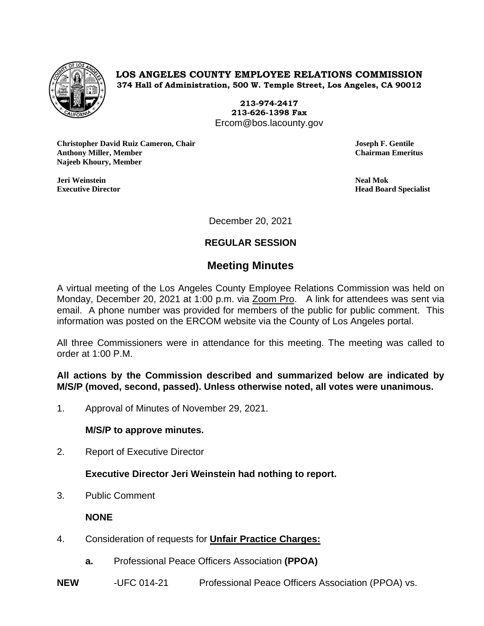

**LOS ANGELES COUNTY EMPLOYEE RELATIONS COMMISSION 374 Hall of Administration, 500 W. Temple Street, Los Angeles, CA 90012**

> **213-974-2417 213-626-1398 Fax** Ercom@bos.lacounty.gov

**Christopher David Ruiz Cameron, Chair Joseph F. Gentile Anthony Miller, Member Chairman Emeritus Najeeb Khoury, Member**

**Jeri Weinstein Neal Mok**

**Executive Director Head Board Specialist**

December 20, 2021

## **REGULAR SESSION**

# **Meeting Minutes**

A virtual meeting of the Los Angeles County Employee Relations Commission was held on Monday, December 20, 2021 at 1:00 p.m. via Zoom Pro. A link for attendees was sent via email. A phone number was provided for members of the public for public comment. This information was posted on the ERCOM website via the County of Los Angeles portal.

All three Commissioners were in attendance for this meeting. The meeting was called to order at 1:00 P.M.

**All actions by the Commission described and summarized below are indicated by M/S/P (moved, second, passed). Unless otherwise noted, all votes were unanimous.**

1. Approval of Minutes of November 29, 2021.

### **M/S/P to approve minutes.**

2. Report of Executive Director

### **Executive Director Jeri Weinstein had nothing to report.**

3. Public Comment

### **NONE**

- 4. Consideration of requests for **Unfair Practice Charges:**
	- **a.** Professional Peace Officers Association **(PPOA)**
- **NEW** -UFC 014-21 Professional Peace Officers Association (PPOA) vs.